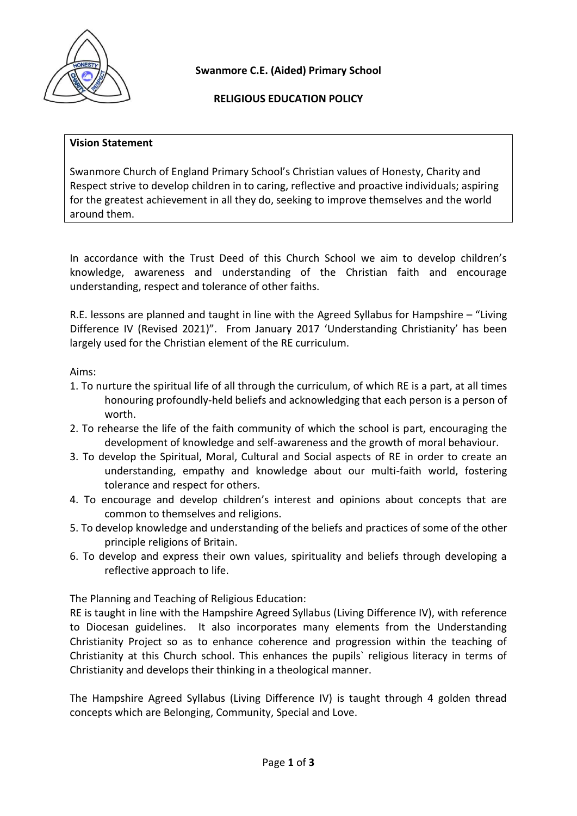

**Swanmore C.E. (Aided) Primary School**

# **RELIGIOUS EDUCATION POLICY**

#### **Vision Statement**

Swanmore Church of England Primary School's Christian values of Honesty, Charity and Respect strive to develop children in to caring, reflective and proactive individuals; aspiring for the greatest achievement in all they do, seeking to improve themselves and the world around them.

In accordance with the Trust Deed of this Church School we aim to develop children's knowledge, awareness and understanding of the Christian faith and encourage understanding, respect and tolerance of other faiths.

R.E. lessons are planned and taught in line with the Agreed Syllabus for Hampshire – "Living Difference IV (Revised 2021)". From January 2017 'Understanding Christianity' has been largely used for the Christian element of the RE curriculum.

### Aims:

- 1. To nurture the spiritual life of all through the curriculum, of which RE is a part, at all times honouring profoundly-held beliefs and acknowledging that each person is a person of worth.
- 2. To rehearse the life of the faith community of which the school is part, encouraging the development of knowledge and self-awareness and the growth of moral behaviour.
- 3. To develop the Spiritual, Moral, Cultural and Social aspects of RE in order to create an understanding, empathy and knowledge about our multi-faith world, fostering tolerance and respect for others.
- 4. To encourage and develop children's interest and opinions about concepts that are common to themselves and religions.
- 5. To develop knowledge and understanding of the beliefs and practices of some of the other principle religions of Britain.
- 6. To develop and express their own values, spirituality and beliefs through developing a reflective approach to life.

The Planning and Teaching of Religious Education:

RE is taught in line with the Hampshire Agreed Syllabus (Living Difference IV), with reference to Diocesan guidelines. It also incorporates many elements from the Understanding Christianity Project so as to enhance coherence and progression within the teaching of Christianity at this Church school. This enhances the pupils` religious literacy in terms of Christianity and develops their thinking in a theological manner.

The Hampshire Agreed Syllabus (Living Difference IV) is taught through 4 golden thread concepts which are Belonging, Community, Special and Love.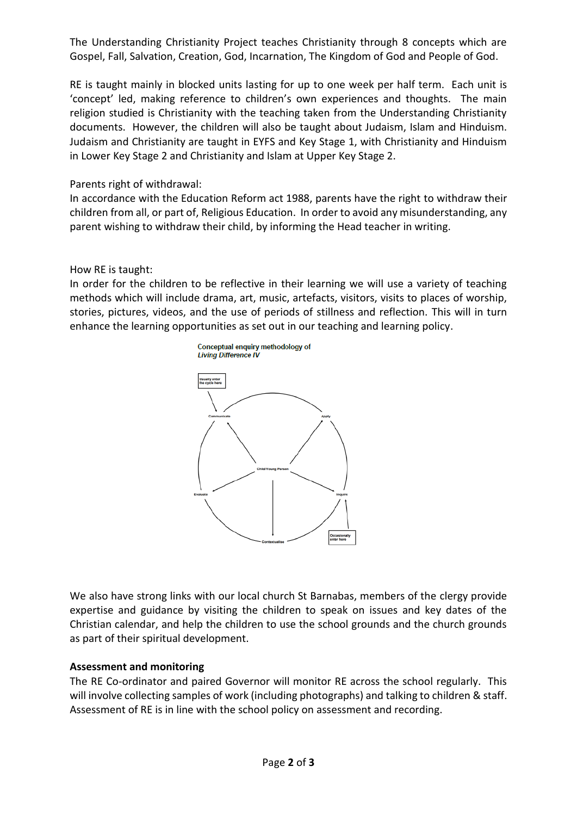The Understanding Christianity Project teaches Christianity through 8 concepts which are Gospel, Fall, Salvation, Creation, God, Incarnation, The Kingdom of God and People of God.

RE is taught mainly in blocked units lasting for up to one week per half term. Each unit is 'concept' led, making reference to children's own experiences and thoughts. The main religion studied is Christianity with the teaching taken from the Understanding Christianity documents. However, the children will also be taught about Judaism, Islam and Hinduism. Judaism and Christianity are taught in EYFS and Key Stage 1, with Christianity and Hinduism in Lower Key Stage 2 and Christianity and Islam at Upper Key Stage 2.

# Parents right of withdrawal:

In accordance with the Education Reform act 1988, parents have the right to withdraw their children from all, or part of, Religious Education. In order to avoid any misunderstanding, any parent wishing to withdraw their child, by informing the Head teacher in writing.

# How RE is taught:

In order for the children to be reflective in their learning we will use a variety of teaching methods which will include drama, art, music, artefacts, visitors, visits to places of worship, stories, pictures, videos, and the use of periods of stillness and reflection. This will in turn enhance the learning opportunities as set out in our teaching and learning policy.



We also have strong links with our local church St Barnabas, members of the clergy provide expertise and guidance by visiting the children to speak on issues and key dates of the Christian calendar, and help the children to use the school grounds and the church grounds as part of their spiritual development.

# **Assessment and monitoring**

The RE Co-ordinator and paired Governor will monitor RE across the school regularly. This will involve collecting samples of work (including photographs) and talking to children & staff. Assessment of RE is in line with the school policy on assessment and recording.